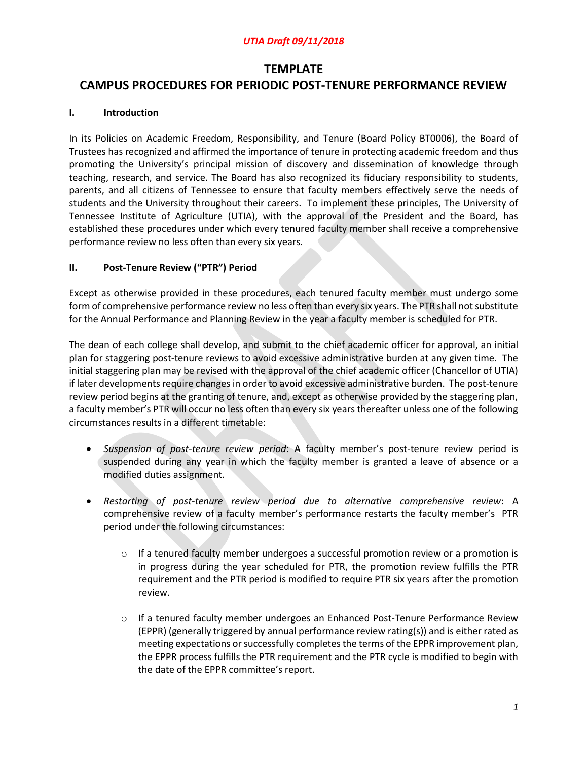# **TEMPLATE** CAMPUS PROCEDURES FOR PERIODIC POST-TENURE PERFORMANCE REVIEW

### I. Introduction

In its Policies on Academic Freedom, Responsibility, and Tenure (Board Policy BT0006), the Board of Trustees has recognized and affirmed the importance of tenure in protecting academic freedom and thus promoting the University's principal mission of discovery and dissemination of knowledge through teaching, research, and service. The Board has also recognized its fiduciary responsibility to students, parents, and all citizens of Tennessee to ensure that faculty members effectively serve the needs of students and the University throughout their careers. To implement these principles, The University of Tennessee Institute of Agriculture (UTIA), with the approval of the President and the Board, has established these procedures under which every tenured faculty member shall receive a comprehensive performance review no less often than every six years.

### II. Post-Tenure Review ("PTR") Period

Except as otherwise provided in these procedures, each tenured faculty member must undergo some form of comprehensive performance review no less often than every six years. The PTR shall not substitute for the Annual Performance and Planning Review in the year a faculty member is scheduled for PTR.

The dean of each college shall develop, and submit to the chief academic officer for approval, an initial plan for staggering post-tenure reviews to avoid excessive administrative burden at any given time. The initial staggering plan may be revised with the approval of the chief academic officer (Chancellor of UTIA) if later developments require changes in order to avoid excessive administrative burden. The post-tenure review period begins at the granting of tenure, and, except as otherwise provided by the staggering plan, a faculty member's PTR will occur no less often than every six years thereafter unless one of the following circumstances results in a different timetable:

- Suspension of post-tenure review period: A faculty member's post-tenure review period is suspended during any year in which the faculty member is granted a leave of absence or a modified duties assignment.
- Restarting of post-tenure review period due to alternative comprehensive review: A comprehensive review of a faculty member's performance restarts the faculty member's PTR period under the following circumstances:
	- $\circ$  If a tenured faculty member undergoes a successful promotion review or a promotion is in progress during the year scheduled for PTR, the promotion review fulfills the PTR requirement and the PTR period is modified to require PTR six years after the promotion review.
	- $\circ$  If a tenured faculty member undergoes an Enhanced Post-Tenure Performance Review (EPPR) (generally triggered by annual performance review rating(s)) and is either rated as meeting expectations or successfully completes the terms of the EPPR improvement plan, the EPPR process fulfills the PTR requirement and the PTR cycle is modified to begin with the date of the EPPR committee's report.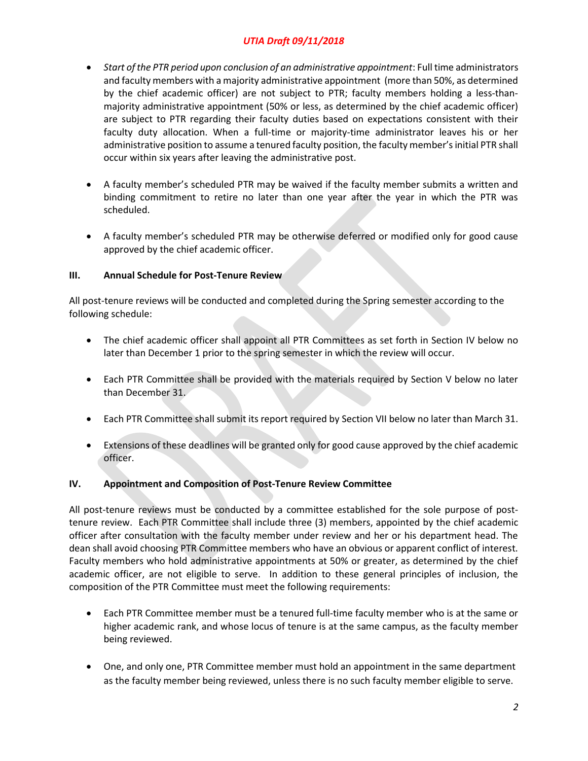- Start of the PTR period upon conclusion of an administrative appointment: Full time administrators and faculty members with a majority administrative appointment (more than 50%, as determined by the chief academic officer) are not subject to PTR; faculty members holding a less-thanmajority administrative appointment (50% or less, as determined by the chief academic officer) are subject to PTR regarding their faculty duties based on expectations consistent with their faculty duty allocation. When a full-time or majority-time administrator leaves his or her administrative position to assume a tenured faculty position, the faculty member's initial PTR shall occur within six years after leaving the administrative post.
- A faculty member's scheduled PTR may be waived if the faculty member submits a written and binding commitment to retire no later than one year after the year in which the PTR was scheduled.
- A faculty member's scheduled PTR may be otherwise deferred or modified only for good cause approved by the chief academic officer.

### III. Annual Schedule for Post-Tenure Review

All post-tenure reviews will be conducted and completed during the Spring semester according to the following schedule:

- The chief academic officer shall appoint all PTR Committees as set forth in Section IV below no later than December 1 prior to the spring semester in which the review will occur.
- Each PTR Committee shall be provided with the materials required by Section V below no later than December 31.
- Each PTR Committee shall submit its report required by Section VII below no later than March 31.
- Extensions of these deadlines will be granted only for good cause approved by the chief academic officer.

### IV. Appointment and Composition of Post-Tenure Review Committee

All post-tenure reviews must be conducted by a committee established for the sole purpose of posttenure review. Each PTR Committee shall include three (3) members, appointed by the chief academic officer after consultation with the faculty member under review and her or his department head. The dean shall avoid choosing PTR Committee members who have an obvious or apparent conflict of interest. Faculty members who hold administrative appointments at 50% or greater, as determined by the chief academic officer, are not eligible to serve. In addition to these general principles of inclusion, the composition of the PTR Committee must meet the following requirements:

- Each PTR Committee member must be a tenured full-time faculty member who is at the same or higher academic rank, and whose locus of tenure is at the same campus, as the faculty member being reviewed.
- One, and only one, PTR Committee member must hold an appointment in the same department as the faculty member being reviewed, unless there is no such faculty member eligible to serve.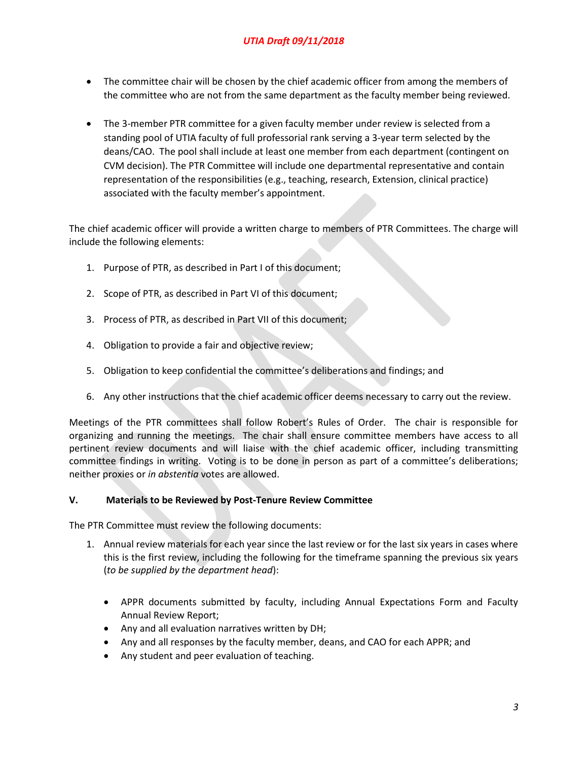- The committee chair will be chosen by the chief academic officer from among the members of the committee who are not from the same department as the faculty member being reviewed.
- The 3-member PTR committee for a given faculty member under review is selected from a standing pool of UTIA faculty of full professorial rank serving a 3-year term selected by the deans/CAO. The pool shall include at least one member from each department (contingent on CVM decision). The PTR Committee will include one departmental representative and contain representation of the responsibilities (e.g., teaching, research, Extension, clinical practice) associated with the faculty member's appointment.

The chief academic officer will provide a written charge to members of PTR Committees. The charge will include the following elements:

- 1. Purpose of PTR, as described in Part I of this document;
- 2. Scope of PTR, as described in Part VI of this document;
- 3. Process of PTR, as described in Part VII of this document;
- 4. Obligation to provide a fair and objective review;
- 5. Obligation to keep confidential the committee's deliberations and findings; and
- 6. Any other instructions that the chief academic officer deems necessary to carry out the review.

Meetings of the PTR committees shall follow Robert's Rules of Order. The chair is responsible for organizing and running the meetings. The chair shall ensure committee members have access to all pertinent review documents and will liaise with the chief academic officer, including transmitting committee findings in writing. Voting is to be done in person as part of a committee's deliberations; neither proxies or in abstentia votes are allowed.

#### V. Materials to be Reviewed by Post-Tenure Review Committee

The PTR Committee must review the following documents:

- 1. Annual review materials for each year since the last review or for the last six years in cases where this is the first review, including the following for the timeframe spanning the previous six years (to be supplied by the department head):
	- APPR documents submitted by faculty, including Annual Expectations Form and Faculty Annual Review Report;
	- Any and all evaluation narratives written by DH;
	- Any and all responses by the faculty member, deans, and CAO for each APPR; and
	- Any student and peer evaluation of teaching.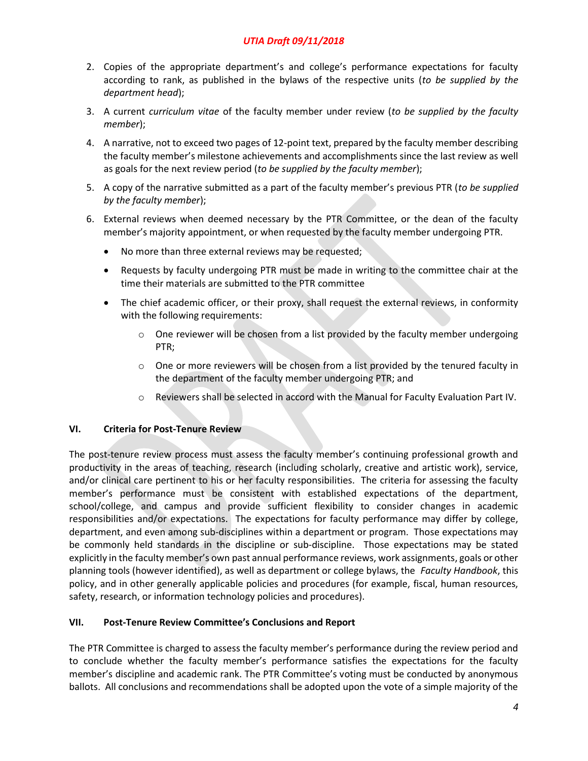- 2. Copies of the appropriate department's and college's performance expectations for faculty according to rank, as published in the bylaws of the respective units (to be supplied by the department head);
- 3. A current curriculum vitae of the faculty member under review (to be supplied by the faculty member);
- 4. A narrative, not to exceed two pages of 12-point text, prepared by the faculty member describing the faculty member's milestone achievements and accomplishments since the last review as well as goals for the next review period (to be supplied by the faculty member);
- 5. A copy of the narrative submitted as a part of the faculty member's previous PTR (to be supplied by the faculty member);
- 6. External reviews when deemed necessary by the PTR Committee, or the dean of the faculty member's majority appointment, or when requested by the faculty member undergoing PTR.
	- No more than three external reviews may be requested;
	- Requests by faculty undergoing PTR must be made in writing to the committee chair at the time their materials are submitted to the PTR committee
	- The chief academic officer, or their proxy, shall request the external reviews, in conformity with the following requirements:
		- $\circ$  One reviewer will be chosen from a list provided by the faculty member undergoing PTR;
		- $\circ$  One or more reviewers will be chosen from a list provided by the tenured faculty in the department of the faculty member undergoing PTR; and
		- o Reviewers shall be selected in accord with the Manual for Faculty Evaluation Part IV.

#### VI. Criteria for Post-Tenure Review

The post-tenure review process must assess the faculty member's continuing professional growth and productivity in the areas of teaching, research (including scholarly, creative and artistic work), service, and/or clinical care pertinent to his or her faculty responsibilities. The criteria for assessing the faculty member's performance must be consistent with established expectations of the department, school/college, and campus and provide sufficient flexibility to consider changes in academic responsibilities and/or expectations. The expectations for faculty performance may differ by college, department, and even among sub-disciplines within a department or program. Those expectations may be commonly held standards in the discipline or sub-discipline. Those expectations may be stated explicitly in the faculty member's own past annual performance reviews, work assignments, goals or other planning tools (however identified), as well as department or college bylaws, the Faculty Handbook, this policy, and in other generally applicable policies and procedures (for example, fiscal, human resources, safety, research, or information technology policies and procedures).

#### VII. Post-Tenure Review Committee's Conclusions and Report

The PTR Committee is charged to assess the faculty member's performance during the review period and to conclude whether the faculty member's performance satisfies the expectations for the faculty member's discipline and academic rank. The PTR Committee's voting must be conducted by anonymous ballots. All conclusions and recommendations shall be adopted upon the vote of a simple majority of the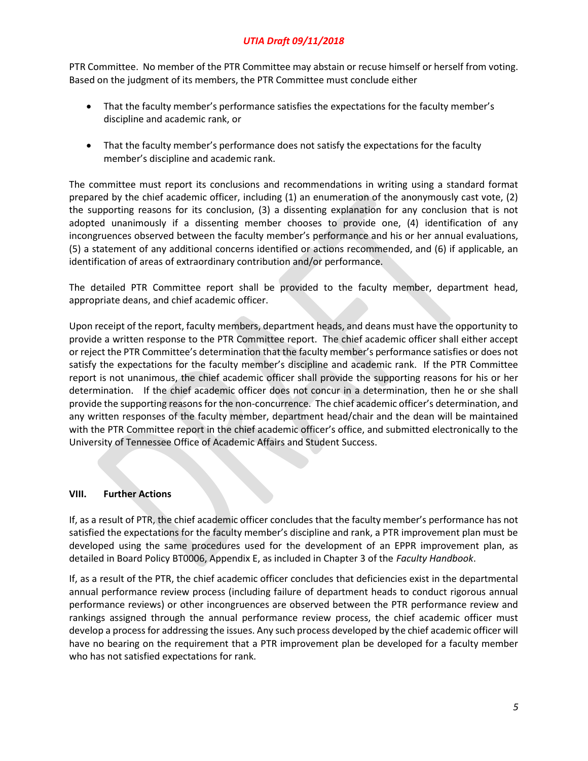PTR Committee. No member of the PTR Committee may abstain or recuse himself or herself from voting. Based on the judgment of its members, the PTR Committee must conclude either

- That the faculty member's performance satisfies the expectations for the faculty member's discipline and academic rank, or
- That the faculty member's performance does not satisfy the expectations for the faculty member's discipline and academic rank.

The committee must report its conclusions and recommendations in writing using a standard format prepared by the chief academic officer, including (1) an enumeration of the anonymously cast vote, (2) the supporting reasons for its conclusion, (3) a dissenting explanation for any conclusion that is not adopted unanimously if a dissenting member chooses to provide one, (4) identification of any incongruences observed between the faculty member's performance and his or her annual evaluations, (5) a statement of any additional concerns identified or actions recommended, and (6) if applicable, an identification of areas of extraordinary contribution and/or performance.

The detailed PTR Committee report shall be provided to the faculty member, department head, appropriate deans, and chief academic officer.

Upon receipt of the report, faculty members, department heads, and deans must have the opportunity to provide a written response to the PTR Committee report. The chief academic officer shall either accept or reject the PTR Committee's determination that the faculty member's performance satisfies or does not satisfy the expectations for the faculty member's discipline and academic rank. If the PTR Committee report is not unanimous, the chief academic officer shall provide the supporting reasons for his or her determination. If the chief academic officer does not concur in a determination, then he or she shall provide the supporting reasons for the non-concurrence. The chief academic officer's determination, and any written responses of the faculty member, department head/chair and the dean will be maintained with the PTR Committee report in the chief academic officer's office, and submitted electronically to the University of Tennessee Office of Academic Affairs and Student Success.

#### VIII. Further Actions

If, as a result of PTR, the chief academic officer concludes that the faculty member's performance has not satisfied the expectations for the faculty member's discipline and rank, a PTR improvement plan must be developed using the same procedures used for the development of an EPPR improvement plan, as detailed in Board Policy BT0006, Appendix E, as included in Chapter 3 of the Faculty Handbook.

If, as a result of the PTR, the chief academic officer concludes that deficiencies exist in the departmental annual performance review process (including failure of department heads to conduct rigorous annual performance reviews) or other incongruences are observed between the PTR performance review and rankings assigned through the annual performance review process, the chief academic officer must develop a process for addressing the issues. Any such process developed by the chief academic officer will have no bearing on the requirement that a PTR improvement plan be developed for a faculty member who has not satisfied expectations for rank.